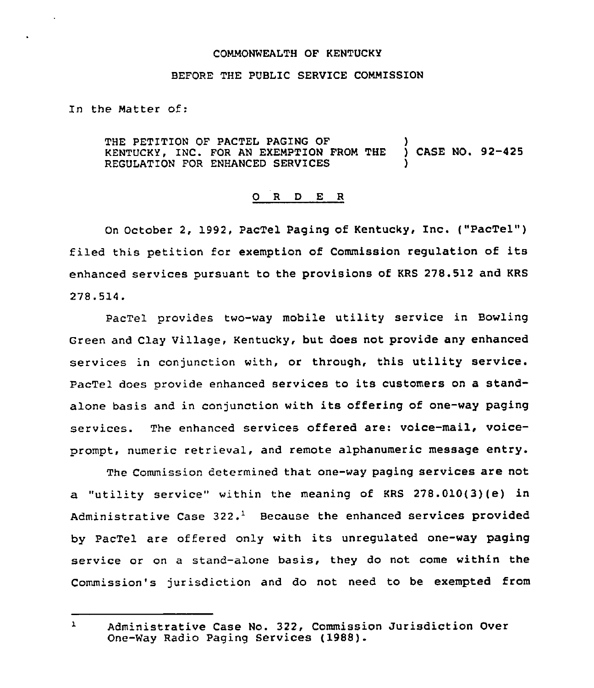## COMMONWEALTH OF KENTUCKY

## BEFORE THE PUBLIC SERVICE COMMISSION

In the Matter of:

THE PETITION OF PACTEL PAGING OF  $\,$  )<br>KENTUCKY, INC. FOR AN EXEMPTION FROM THE ) CASE NO, 92-425 KENTUCKY, INC. FOR AN EXEMPTION FROM THE REGULATION FOR ENHANCED SERVICES

## 0 <sup>R</sup> <sup>D</sup> E <sup>R</sup>

On October 2, 1992, PacTel Paging of Kentucky, Inc. {"PacTel") filed this petition for exemption of Commission regulation of its enhanced services pursuant to the provisions of KRS 278.512 and KRS 278.514.

PacTel provides two-way mobile utility service in Bowling Green and Clay Village, Kentucky, but does not provide any enhanced services in conjunction with, or through, this utility service. PacTel does provide enhanced services to its customers on a standalone basis and in conjunction with its offering of one-way paging services. The enhanced services offered are: voice-mail, voiceprompt, numeric retrieval, and remote alphanumeric message entry.

The Commission determined that one-way paging services are not a "utility service" within the meaning of KRS 278.010(3)(e) in Administrative Case  $322.$ <sup>1</sup> Because the enhanced services provided by PacTel are offered only with its unregulated one-way paging service or on a stand-alone basis, they do not come within the Commission's jurisdiction and do not need to be exempted from

 $\mathbf{1}$ Administrative Case No. 322, Commission Jurisdiction Over One-Way Radio Paging Services (1988).